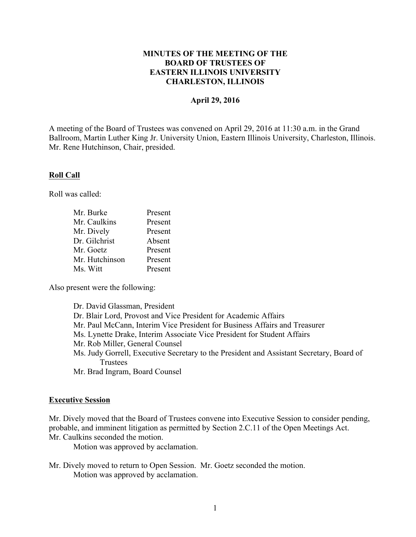### **MINUTES OF THE MEETING OF THE BOARD OF TRUSTEES OF EASTERN ILLINOIS UNIVERSITY CHARLESTON, ILLINOIS**

#### **April 29, 2016**

A meeting of the Board of Trustees was convened on April 29, 2016 at 11:30 a.m. in the Grand Ballroom, Martin Luther King Jr. University Union, Eastern Illinois University, Charleston, Illinois. Mr. Rene Hutchinson, Chair, presided.

#### **Roll Call**

Roll was called:

| Mr. Burke      | Present |
|----------------|---------|
| Mr. Caulkins   | Present |
| Mr. Dively     | Present |
| Dr. Gilchrist  | Absent  |
| Mr. Goetz      | Present |
| Mr. Hutchinson | Present |
| Ms. Witt       | Present |

Also present were the following:

| Dr. David Glassman, President                                                            |
|------------------------------------------------------------------------------------------|
| Dr. Blair Lord, Provost and Vice President for Academic Affairs                          |
| Mr. Paul McCann, Interim Vice President for Business Affairs and Treasurer               |
| Ms. Lynette Drake, Interim Associate Vice President for Student Affairs                  |
| Mr. Rob Miller, General Counsel                                                          |
| Ms. Judy Gorrell, Executive Secretary to the President and Assistant Secretary, Board of |
| Trustees                                                                                 |
| Mr. Brad Ingram, Board Counsel                                                           |

#### **Executive Session**

Mr. Dively moved that the Board of Trustees convene into Executive Session to consider pending, probable, and imminent litigation as permitted by Section 2.C.11 of the Open Meetings Act. Mr. Caulkins seconded the motion.

Motion was approved by acclamation.

Mr. Dively moved to return to Open Session. Mr. Goetz seconded the motion. Motion was approved by acclamation.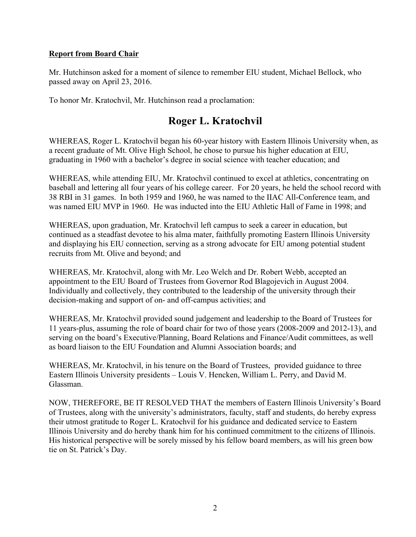## **Report from Board Chair**

Mr. Hutchinson asked for a moment of silence to remember EIU student, Michael Bellock, who passed away on April 23, 2016.

To honor Mr. Kratochvil, Mr. Hutchinson read a proclamation:

# **Roger L. Kratochvil**

WHEREAS, Roger L. Kratochvil began his 60-year history with Eastern Illinois University when, as a recent graduate of Mt. Olive High School, he chose to pursue his higher education at EIU, graduating in 1960 with a bachelor's degree in social science with teacher education; and

WHEREAS, while attending EIU, Mr. Kratochvil continued to excel at athletics, concentrating on baseball and lettering all four years of his college career. For 20 years, he held the school record with 38 RBI in 31 games. In both 1959 and 1960, he was named to the IIAC All-Conference team, and was named EIU MVP in 1960. He was inducted into the EIU Athletic Hall of Fame in 1998; and

WHEREAS, upon graduation, Mr. Kratochvil left campus to seek a career in education, but continued as a steadfast devotee to his alma mater, faithfully promoting Eastern Illinois University and displaying his EIU connection, serving as a strong advocate for EIU among potential student recruits from Mt. Olive and beyond; and

WHEREAS, Mr. Kratochvil, along with Mr. Leo Welch and Dr. Robert Webb, accepted an appointment to the EIU Board of Trustees from Governor Rod Blagojevich in August 2004. Individually and collectively, they contributed to the leadership of the university through their decision-making and support of on- and off-campus activities; and

WHEREAS, Mr. Kratochvil provided sound judgement and leadership to the Board of Trustees for 11 years-plus, assuming the role of board chair for two of those years (2008-2009 and 2012-13), and serving on the board's Executive/Planning, Board Relations and Finance/Audit committees, as well as board liaison to the EIU Foundation and Alumni Association boards; and

WHEREAS, Mr. Kratochvil, in his tenure on the Board of Trustees, provided guidance to three Eastern Illinois University presidents – Louis V. Hencken, William L. Perry, and David M. Glassman.

NOW, THEREFORE, BE IT RESOLVED THAT the members of Eastern Illinois University's Board of Trustees, along with the university's administrators, faculty, staff and students, do hereby express their utmost gratitude to Roger L. Kratochvil for his guidance and dedicated service to Eastern Illinois University and do hereby thank him for his continued commitment to the citizens of Illinois. His historical perspective will be sorely missed by his fellow board members, as will his green bow tie on St. Patrick's Day.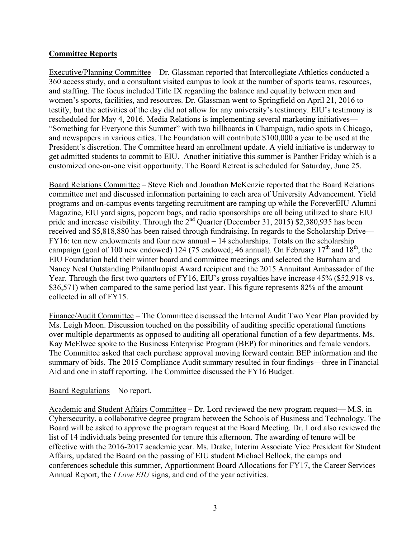# **Committee Reports**

Executive/Planning Committee – Dr. Glassman reported that Intercollegiate Athletics conducted a 360 access study, and a consultant visited campus to look at the number of sports teams, resources, and staffing. The focus included Title IX regarding the balance and equality between men and women's sports, facilities, and resources. Dr. Glassman went to Springfield on April 21, 2016 to testify, but the activities of the day did not allow for any university's testimony. EIU's testimony is rescheduled for May 4, 2016. Media Relations is implementing several marketing initiatives— "Something for Everyone this Summer" with two billboards in Champaign, radio spots in Chicago, and newspapers in various cities. The Foundation will contribute \$100,000 a year to be used at the President's discretion. The Committee heard an enrollment update. A yield initiative is underway to get admitted students to commit to EIU. Another initiative this summer is Panther Friday which is a customized one-on-one visit opportunity. The Board Retreat is scheduled for Saturday, June 25.

Board Relations Committee – Steve Rich and Jonathan McKenzie reported that the Board Relations committee met and discussed information pertaining to each area of University Advancement. Yield programs and on-campus events targeting recruitment are ramping up while the ForeverEIU Alumni Magazine, EIU yard signs, popcorn bags, and radio sponsorships are all being utilized to share EIU pride and increase visibility. Through the 2<sup>nd</sup> Quarter (December 31, 2015) \$2,380,935 has been received and \$5,818,880 has been raised through fundraising. In regards to the Scholarship Drive—  $FY16$ : ten new endowments and four new annual = 14 scholarships. Totals on the scholarship campaign (goal of 100 new endowed) 124 (75 endowed; 46 annual). On February 17<sup>th</sup> and 18<sup>th</sup>, the EIU Foundation held their winter board and committee meetings and selected the Burnham and Nancy Neal Outstanding Philanthropist Award recipient and the 2015 Annuitant Ambassador of the Year. Through the first two quarters of FY16, EIU's gross royalties have increase 45% (\$52,918 vs. \$36,571) when compared to the same period last year. This figure represents 82% of the amount collected in all of FY15.

Finance/Audit Committee – The Committee discussed the Internal Audit Two Year Plan provided by Ms. Leigh Moon. Discussion touched on the possibility of auditing specific operational functions over multiple departments as opposed to auditing all operational function of a few departments. Ms. Kay McElwee spoke to the Business Enterprise Program (BEP) for minorities and female vendors. The Committee asked that each purchase approval moving forward contain BEP information and the summary of bids. The 2015 Compliance Audit summary resulted in four findings—three in Financial Aid and one in staff reporting. The Committee discussed the FY16 Budget.

# Board Regulations – No report.

Academic and Student Affairs Committee – Dr. Lord reviewed the new program request— M.S. in Cybersecurity, a collaborative degree program between the Schools of Business and Technology. The Board will be asked to approve the program request at the Board Meeting. Dr. Lord also reviewed the list of 14 individuals being presented for tenure this afternoon. The awarding of tenure will be effective with the 2016-2017 academic year. Ms. Drake, Interim Associate Vice President for Student Affairs, updated the Board on the passing of EIU student Michael Bellock, the camps and conferences schedule this summer, Apportionment Board Allocations for FY17, the Career Services Annual Report, the *I Love EIU* signs, and end of the year activities.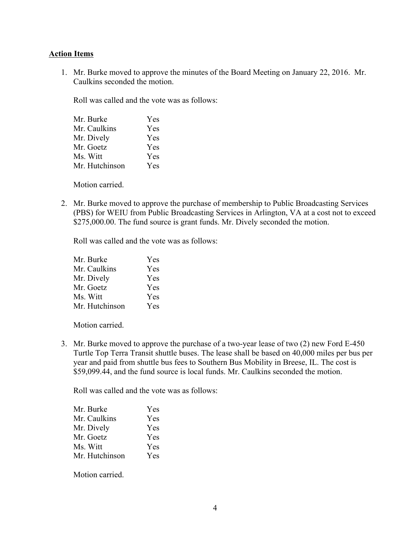### **Action Items**

1. Mr. Burke moved to approve the minutes of the Board Meeting on January 22, 2016. Mr. Caulkins seconded the motion.

Roll was called and the vote was as follows:

| Mr. Burke      | Yes |  |
|----------------|-----|--|
| Mr. Caulkins   | Yes |  |
| Mr. Dively     | Yes |  |
| Mr. Goetz      | Yes |  |
| Ms. Witt       | Yes |  |
| Mr. Hutchinson | Yes |  |
|                |     |  |

Motion carried.

2. Mr. Burke moved to approve the purchase of membership to Public Broadcasting Services (PBS) for WEIU from Public Broadcasting Services in Arlington, VA at a cost not to exceed \$275,000.00. The fund source is grant funds. Mr. Dively seconded the motion.

Roll was called and the vote was as follows:

| Mr. Burke      | Yes |  |
|----------------|-----|--|
| Mr. Caulkins   | Yes |  |
| Mr. Dively     | Yes |  |
| Mr. Goetz      | Yes |  |
| Ms. Witt       | Yes |  |
| Mr. Hutchinson | Yes |  |

Motion carried.

3. Mr. Burke moved to approve the purchase of a two-year lease of two (2) new Ford E-450 Turtle Top Terra Transit shuttle buses. The lease shall be based on 40,000 miles per bus per year and paid from shuttle bus fees to Southern Bus Mobility in Breese, IL. The cost is \$59,099.44, and the fund source is local funds. Mr. Caulkins seconded the motion.

Roll was called and the vote was as follows:

| Yes |
|-----|
| Yes |
| Yes |
| Yes |
| Yes |
| Yes |
|     |

Motion carried.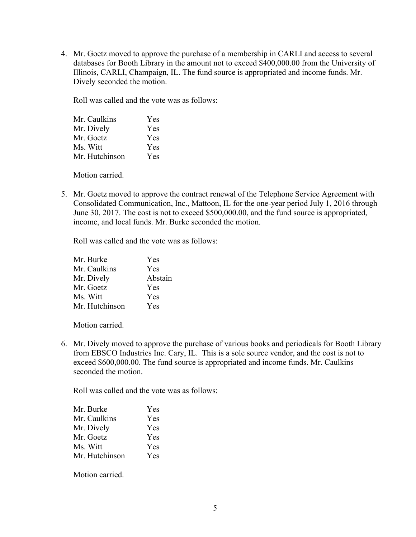4. Mr. Goetz moved to approve the purchase of a membership in CARLI and access to several databases for Booth Library in the amount not to exceed \$400,000.00 from the University of Illinois, CARLI, Champaign, IL. The fund source is appropriated and income funds. Mr. Dively seconded the motion.

Roll was called and the vote was as follows:

| Mr. Caulkins   | Yes |  |
|----------------|-----|--|
| Mr. Dively     | Yes |  |
| Mr. Goetz      | Yes |  |
| Ms. Witt       | Yes |  |
| Mr. Hutchinson | Yes |  |

Motion carried.

5. Mr. Goetz moved to approve the contract renewal of the Telephone Service Agreement with Consolidated Communication, Inc., Mattoon, IL for the one-year period July 1, 2016 through June 30, 2017. The cost is not to exceed \$500,000.00, and the fund source is appropriated, income, and local funds. Mr. Burke seconded the motion.

Roll was called and the vote was as follows:

| Mr. Burke      | Yes     |
|----------------|---------|
| Mr. Caulkins   | Yes     |
| Mr. Dively     | Abstain |
| Mr. Goetz      | Yes     |
| Ms. Witt       | Yes     |
| Mr. Hutchinson | Yes     |

Motion carried.

6. Mr. Dively moved to approve the purchase of various books and periodicals for Booth Library from EBSCO Industries Inc. Cary, IL. This is a sole source vendor, and the cost is not to exceed \$600,000.00. The fund source is appropriated and income funds. Mr. Caulkins seconded the motion.

Roll was called and the vote was as follows:

| Yes |
|-----|
| Yes |
| Yes |
| Yes |
| Yes |
| Yes |
|     |

Motion carried.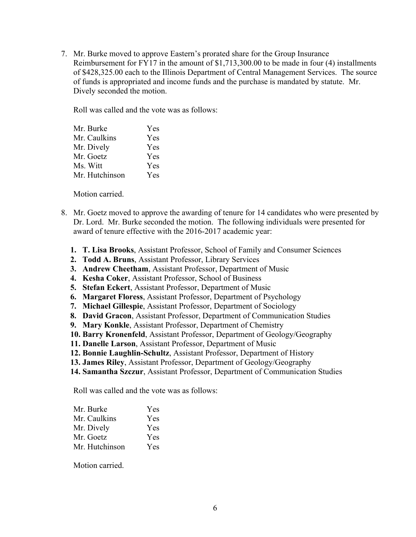7. Mr. Burke moved to approve Eastern's prorated share for the Group Insurance Reimbursement for FY17 in the amount of \$1,713,300.00 to be made in four (4) installments of \$428,325.00 each to the Illinois Department of Central Management Services. The source of funds is appropriated and income funds and the purchase is mandated by statute. Mr. Dively seconded the motion.

Roll was called and the vote was as follows:

| Yes |
|-----|
| Yes |
| Yes |
| Yes |
| Yes |
| Yes |
|     |

Motion carried.

- 8. Mr. Goetz moved to approve the awarding of tenure for 14 candidates who were presented by Dr. Lord. Mr. Burke seconded the motion. The following individuals were presented for award of tenure effective with the 2016-2017 academic year:
	- **1. T. Lisa Brooks**, Assistant Professor, School of Family and Consumer Sciences
	- **2. Todd A. Bruns**, Assistant Professor, Library Services
	- **3. Andrew Cheetham**, Assistant Professor, Department of Music
	- **4. Kesha Coker**, Assistant Professor, School of Business
	- **5. Stefan Eckert**, Assistant Professor, Department of Music
	- **6. Margaret Floress**, Assistant Professor, Department of Psychology
	- **7. Michael Gillespie**, Assistant Professor, Department of Sociology
	- **8. David Gracon**, Assistant Professor, Department of Communication Studies
	- **9. Mary Konkle**, Assistant Professor, Department of Chemistry
	- **10. Barry Kronenfeld**, Assistant Professor, Department of Geology/Geography
	- **11. Danelle Larson**, Assistant Professor, Department of Music
	- **12. Bonnie Laughlin-Schultz**, Assistant Professor, Department of History
	- **13. James Riley**, Assistant Professor, Department of Geology/Geography
	- **14. Samantha Szczur**, Assistant Professor, Department of Communication Studies

Roll was called and the vote was as follows:

| Mr. Burke      | Yes |
|----------------|-----|
| Mr. Caulkins   | Yes |
| Mr. Dively     | Yes |
| Mr. Goetz      | Yes |
| Mr. Hutchinson | Yes |

Motion carried.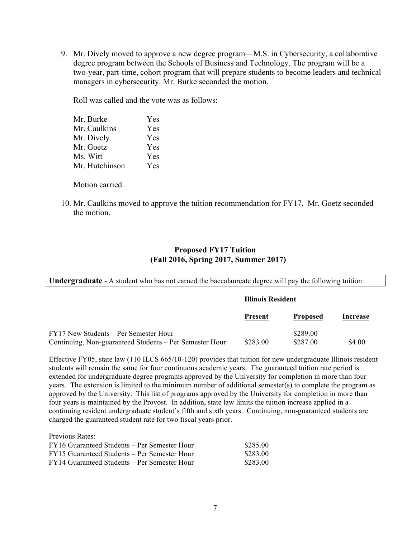9. Mr. Dively moved to approve a new degree program—M.S. in Cybersecurity, a collaborative degree program between the Schools of Business and Technology. The program will be a two-year, part-time, cohort program that will prepare students to become leaders and technical managers in cybersecurity. Mr. Burke seconded the motion.

Roll was called and the vote was as follows:

| Mr. Burke      | Yes |  |
|----------------|-----|--|
| Mr. Caulkins   | Yes |  |
| Mr. Dively     | Yes |  |
| Mr. Goetz      | Yes |  |
| Ms. Witt       | Yes |  |
| Mr. Hutchinson | Yes |  |
|                |     |  |

Motion carried.

10. Mr. Caulkins moved to approve the tuition recommendation for FY17. Mr. Goetz seconded the motion.

### **Proposed FY17 Tuition (Fall 2016, Spring 2017, Summer 2017)**

**Undergraduate** - A student who has not earned the baccalaureate degree will pay the following tuition:

| <b>Illinois Resident</b> |                 |                      |
|--------------------------|-----------------|----------------------|
| Present                  | <b>Proposed</b> | Increase             |
|                          | \$289.00        | \$4.00               |
|                          |                 | \$283.00<br>\$287.00 |

Effective FY05, state law (110 ILCS 665/10-120) provides that tuition for new undergraduate Illinois resident students will remain the same for four continuous academic years. The guaranteed tuition rate period is extended for undergraduate degree programs approved by the University for completion in more than four years. The extension is limited to the minimum number of additional semester(s) to complete the program as approved by the University. This list of programs approved by the University for completion in more than four years is maintained by the Provost. In addition, state law limits the tuition increase applied in a continuing resident undergraduate student's fifth and sixth years. Continuing, non-guaranteed students are charged the guaranteed student rate for two fiscal years prior.

Previous Rates: FY16 Guaranteed Students – Per Semester Hour \$285.00 FY15 Guaranteed Students – Per Semester Hour \$283.00 FY14 Guaranteed Students – Per Semester Hour \$283.00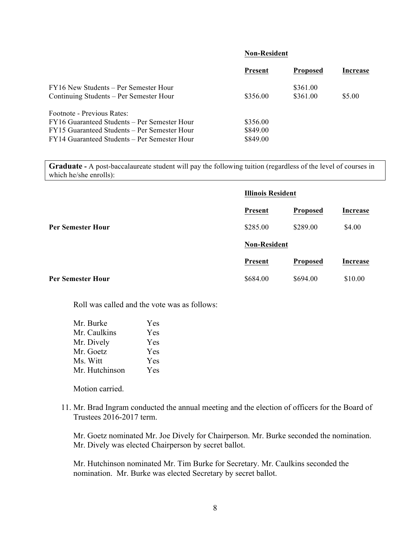#### **Non-Resident**

|                                                                                              | <b>Present</b>       | <b>Proposed</b>      | Increase |
|----------------------------------------------------------------------------------------------|----------------------|----------------------|----------|
| FY16 New Students – Per Semester Hour<br>Continuing Students – Per Semester Hour             | \$356.00             | \$361.00<br>\$361.00 | \$5.00   |
| Footnote - Previous Rates:                                                                   |                      |                      |          |
| FY16 Guaranteed Students – Per Semester Hour<br>FY15 Guaranteed Students – Per Semester Hour | \$356.00<br>\$849.00 |                      |          |
| FY14 Guaranteed Students – Per Semester Hour                                                 | \$849.00             |                      |          |

**Graduate -** A post-baccalaureate student will pay the following tuition (regardless of the level of courses in which he/she enrolls):

|                          |                     | <b>Illinois Resident</b> |                 |  |
|--------------------------|---------------------|--------------------------|-----------------|--|
|                          | <b>Present</b>      | <b>Proposed</b>          | <b>Increase</b> |  |
| <b>Per Semester Hour</b> | \$285.00            | \$289.00                 | \$4.00          |  |
|                          | <b>Non-Resident</b> |                          |                 |  |
|                          | <b>Present</b>      | <b>Proposed</b>          | <b>Increase</b> |  |
| <b>Per Semester Hour</b> | \$684.00            | \$694.00                 | \$10.00         |  |

Roll was called and the vote was as follows:

| Mr. Burke      | Yes |  |
|----------------|-----|--|
| Mr. Caulkins   | Yes |  |
| Mr. Dively     | Yes |  |
| Mr. Goetz      | Yes |  |
| Ms. Witt       | Yes |  |
| Mr. Hutchinson | Yes |  |

Motion carried.

11. Mr. Brad Ingram conducted the annual meeting and the election of officers for the Board of Trustees 2016-2017 term.

Mr. Goetz nominated Mr. Joe Dively for Chairperson. Mr. Burke seconded the nomination. Mr. Dively was elected Chairperson by secret ballot.

Mr. Hutchinson nominated Mr. Tim Burke for Secretary. Mr. Caulkins seconded the nomination. Mr. Burke was elected Secretary by secret ballot.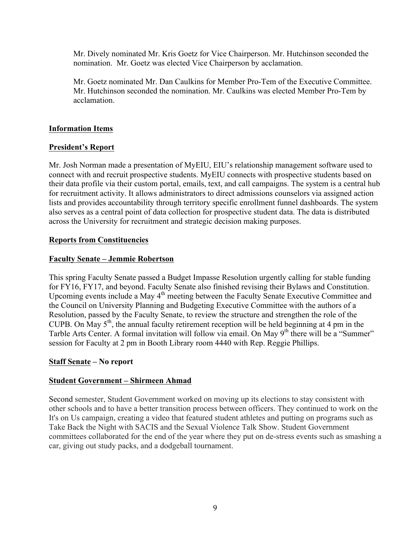Mr. Dively nominated Mr. Kris Goetz for Vice Chairperson. Mr. Hutchinson seconded the nomination. Mr. Goetz was elected Vice Chairperson by acclamation.

Mr. Goetz nominated Mr. Dan Caulkins for Member Pro-Tem of the Executive Committee. Mr. Hutchinson seconded the nomination. Mr. Caulkins was elected Member Pro-Tem by acclamation.

# **Information Items**

# **President's Report**

Mr. Josh Norman made a presentation of MyEIU, EIU's relationship management software used to connect with and recruit prospective students. MyEIU connects with prospective students based on their data profile via their custom portal, emails, text, and call campaigns. The system is a central hub for recruitment activity. It allows administrators to direct admissions counselors via assigned action lists and provides accountability through territory specific enrollment funnel dashboards. The system also serves as a central point of data collection for prospective student data. The data is distributed across the University for recruitment and strategic decision making purposes.

# **Reports from Constituencies**

# **Faculty Senate – Jemmie Robertson**

This spring Faculty Senate passed a Budget Impasse Resolution urgently calling for stable funding for FY16, FY17, and beyond. Faculty Senate also finished revising their Bylaws and Constitution. Upcoming events include a May 4<sup>th</sup> meeting between the Faculty Senate Executive Committee and the Council on University Planning and Budgeting Executive Committee with the authors of a Resolution, passed by the Faculty Senate, to review the structure and strengthen the role of the CUPB. On May  $5<sup>th</sup>$ , the annual faculty retirement reception will be held beginning at 4 pm in the Tarble Arts Center. A formal invitation will follow via email. On May 9<sup>th</sup> there will be a "Summer" session for Faculty at 2 pm in Booth Library room 4440 with Rep. Reggie Phillips.

# **Staff Senate – No report**

# **Student Government – Shirmeen Ahmad**

Second semester, Student Government worked on moving up its elections to stay consistent with other schools and to have a better transition process between officers. They continued to work on the It's on Us campaign, creating a video that featured student athletes and putting on programs such as Take Back the Night with SACIS and the Sexual Violence Talk Show. Student Government committees collaborated for the end of the year where they put on de-stress events such as smashing a car, giving out study packs, and a dodgeball tournament.